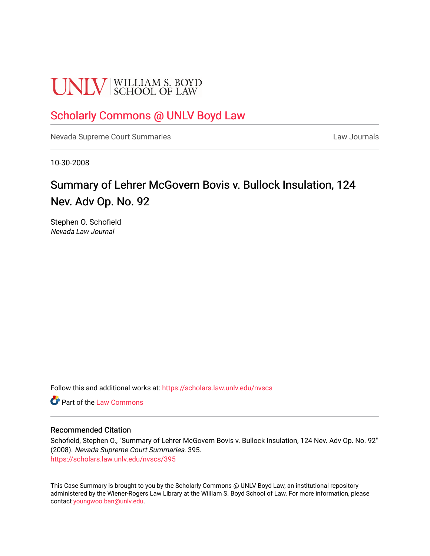# **UNLV** SCHOOL OF LAW

### [Scholarly Commons @ UNLV Boyd Law](https://scholars.law.unlv.edu/)

[Nevada Supreme Court Summaries](https://scholars.law.unlv.edu/nvscs) **Law Journals** Law Journals

10-30-2008

## Summary of Lehrer McGovern Bovis v. Bullock Insulation, 124 Nev. Adv Op. No. 92

Stephen O. Schofield Nevada Law Journal

Follow this and additional works at: [https://scholars.law.unlv.edu/nvscs](https://scholars.law.unlv.edu/nvscs?utm_source=scholars.law.unlv.edu%2Fnvscs%2F395&utm_medium=PDF&utm_campaign=PDFCoverPages)

**C** Part of the [Law Commons](http://network.bepress.com/hgg/discipline/578?utm_source=scholars.law.unlv.edu%2Fnvscs%2F395&utm_medium=PDF&utm_campaign=PDFCoverPages)

#### Recommended Citation

Schofield, Stephen O., "Summary of Lehrer McGovern Bovis v. Bullock Insulation, 124 Nev. Adv Op. No. 92" (2008). Nevada Supreme Court Summaries. 395. [https://scholars.law.unlv.edu/nvscs/395](https://scholars.law.unlv.edu/nvscs/395?utm_source=scholars.law.unlv.edu%2Fnvscs%2F395&utm_medium=PDF&utm_campaign=PDFCoverPages)

This Case Summary is brought to you by the Scholarly Commons @ UNLV Boyd Law, an institutional repository administered by the Wiener-Rogers Law Library at the William S. Boyd School of Law. For more information, please contact [youngwoo.ban@unlv.edu](mailto:youngwoo.ban@unlv.edu).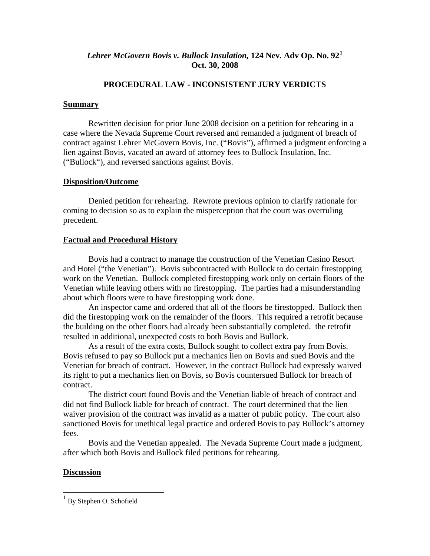#### *Lehrer McGovern Bovis v. Bullock Insulation,* **124 Nev. Adv Op. No. 92[1](#page-1-0) Oct. 30, 2008**

#### **PROCEDURAL LAW - INCONSISTENT JURY VERDICTS**

#### **Summary**

 Rewritten decision for prior June 2008 decision on a petition for rehearing in a case where the Nevada Supreme Court reversed and remanded a judgment of breach of contract against Lehrer McGovern Bovis, Inc. ("Bovis"), affirmed a judgment enforcing a lien against Bovis, vacated an award of attorney fees to Bullock Insulation, Inc. ("Bullock"), and reversed sanctions against Bovis.

#### **Disposition/Outcome**

 Denied petition for rehearing. Rewrote previous opinion to clarify rationale for coming to decision so as to explain the misperception that the court was overruling precedent.

#### **Factual and Procedural History**

 Bovis had a contract to manage the construction of the Venetian Casino Resort and Hotel ("the Venetian"). Bovis subcontracted with Bullock to do certain firestopping work on the Venetian. Bullock completed firestopping work only on certain floors of the Venetian while leaving others with no firestopping. The parties had a misunderstanding about which floors were to have firestopping work done.

 An inspector came and ordered that all of the floors be firestopped. Bullock then did the firestopping work on the remainder of the floors. This required a retrofit because the building on the other floors had already been substantially completed. the retrofit resulted in additional, unexpected costs to both Bovis and Bullock.

 As a result of the extra costs, Bullock sought to collect extra pay from Bovis. Bovis refused to pay so Bullock put a mechanics lien on Bovis and sued Bovis and the Venetian for breach of contract. However, in the contract Bullock had expressly waived its right to put a mechanics lien on Bovis, so Bovis countersued Bullock for breach of contract.

 The district court found Bovis and the Venetian liable of breach of contract and did not find Bullock liable for breach of contract. The court determined that the lien waiver provision of the contract was invalid as a matter of public policy. The court also sanctioned Bovis for unethical legal practice and ordered Bovis to pay Bullock's attorney fees.

 Bovis and the Venetian appealed. The Nevada Supreme Court made a judgment, after which both Bovis and Bullock filed petitions for rehearing.

#### **Discussion**

 $\overline{\phantom{a}}$ 

<span id="page-1-0"></span><sup>&</sup>lt;sup>1</sup> By Stephen O. Schofield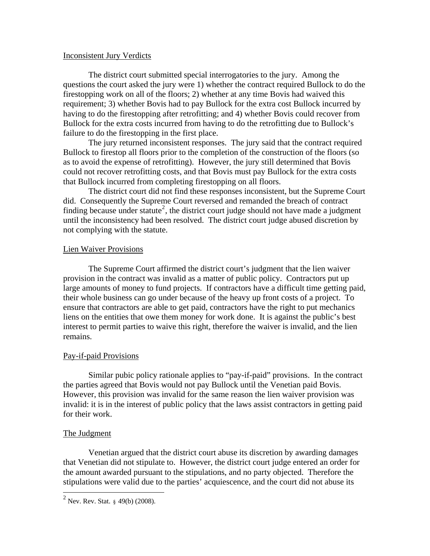#### Inconsistent Jury Verdicts

 The district court submitted special interrogatories to the jury. Among the questions the court asked the jury were 1) whether the contract required Bullock to do the firestopping work on all of the floors; 2) whether at any time Bovis had waived this requirement; 3) whether Bovis had to pay Bullock for the extra cost Bullock incurred by having to do the firestopping after retrofitting; and 4) whether Bovis could recover from Bullock for the extra costs incurred from having to do the retrofitting due to Bullock's failure to do the firestopping in the first place.

 The jury returned inconsistent responses. The jury said that the contract required Bullock to firestop all floors prior to the completion of the construction of the floors (so as to avoid the expense of retrofitting). However, the jury still determined that Bovis could not recover retrofitting costs, and that Bovis must pay Bullock for the extra costs that Bullock incurred from completing firestopping on all floors.

 The district court did not find these responses inconsistent, but the Supreme Court did. Consequently the Supreme Court reversed and remanded the breach of contract finding because under statute<sup>[2](#page-2-0)</sup>, the district court judge should not have made a judgment until the inconsistency had been resolved. The district court judge abused discretion by not complying with the statute.

#### Lien Waiver Provisions

 The Supreme Court affirmed the district court's judgment that the lien waiver provision in the contract was invalid as a matter of public policy. Contractors put up large amounts of money to fund projects. If contractors have a difficult time getting paid, their whole business can go under because of the heavy up front costs of a project. To ensure that contractors are able to get paid, contractors have the right to put mechanics liens on the entities that owe them money for work done. It is against the public's best interest to permit parties to waive this right, therefore the waiver is invalid, and the lien remains.

#### Pay-if-paid Provisions

 Similar pubic policy rationale applies to "pay-if-paid" provisions. In the contract the parties agreed that Bovis would not pay Bullock until the Venetian paid Bovis. However, this provision was invalid for the same reason the lien waiver provision was invalid: it is in the interest of public policy that the laws assist contractors in getting paid for their work.

#### The Judgment

 Venetian argued that the district court abuse its discretion by awarding damages that Venetian did not stipulate to. However, the district court judge entered an order for the amount awarded pursuant to the stipulations, and no party objected. Therefore the stipulations were valid due to the parties' acquiescence, and the court did not abuse its

<span id="page-2-0"></span> $^{2}$  Nev. Rev. Stat. § 49(b) (2008).